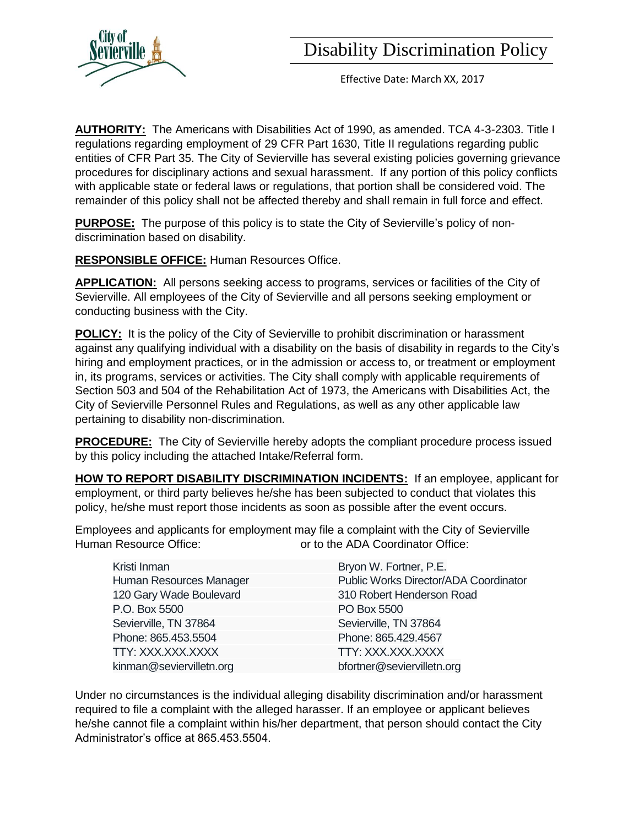

Effective Date: March XX, 2017

**AUTHORITY:** The Americans with Disabilities Act of 1990, as amended. TCA 4-3-2303. Title I regulations regarding employment of 29 CFR Part 1630, Title II regulations regarding public entities of CFR Part 35. The City of Sevierville has several existing policies governing grievance procedures for disciplinary actions and sexual harassment. If any portion of this policy conflicts with applicable state or federal laws or regulations, that portion shall be considered void. The remainder of this policy shall not be affected thereby and shall remain in full force and effect.

**PURPOSE:** The purpose of this policy is to state the City of Sevierville's policy of nondiscrimination based on disability.

**RESPONSIBLE OFFICE:** Human Resources Office.

**APPLICATION:** All persons seeking access to programs, services or facilities of the City of Sevierville. All employees of the City of Sevierville and all persons seeking employment or conducting business with the City.

**POLICY:** It is the policy of the City of Sevierville to prohibit discrimination or harassment against any qualifying individual with a disability on the basis of disability in regards to the City's hiring and employment practices, or in the admission or access to, or treatment or employment in, its programs, services or activities. The City shall comply with applicable requirements of Section 503 and 504 of the Rehabilitation Act of 1973, the Americans with Disabilities Act, the City of Sevierville Personnel Rules and Regulations, as well as any other applicable law pertaining to disability non-discrimination.

**PROCEDURE:** The City of Sevierville hereby adopts the compliant procedure process issued by this policy including the attached Intake/Referral form.

**HOW TO REPORT DISABILITY DISCRIMINATION INCIDENTS:** If an employee, applicant for employment, or third party believes he/she has been subjected to conduct that violates this policy, he/she must report those incidents as soon as possible after the event occurs.

Employees and applicants for employment may file a complaint with the City of Sevierville Human Resource Office:  $\qquad \qquad$  or to the ADA Coordinator Office:

| Kristi Inman             | Bryon W. Fortner, P.E.                |
|--------------------------|---------------------------------------|
| Human Resources Manager  | Public Works Director/ADA Coordinator |
| 120 Gary Wade Boulevard  | 310 Robert Henderson Road             |
| P.O. Box 5500            | PO Box 5500                           |
| Sevierville, TN 37864    | Sevierville, TN 37864                 |
| Phone: 865.453.5504      | Phone: 865.429.4567                   |
| TTY: XXX.XXX.XXXX        | TTY: XXX.XXX.XXXX                     |
| kinman@seviervilletn.org | bfortner@seviervilletn.org            |
|                          |                                       |

Under no circumstances is the individual alleging disability discrimination and/or harassment required to file a complaint with the alleged harasser. If an employee or applicant believes he/she cannot file a complaint within his/her department, that person should contact the City Administrator's office at 865.453.5504.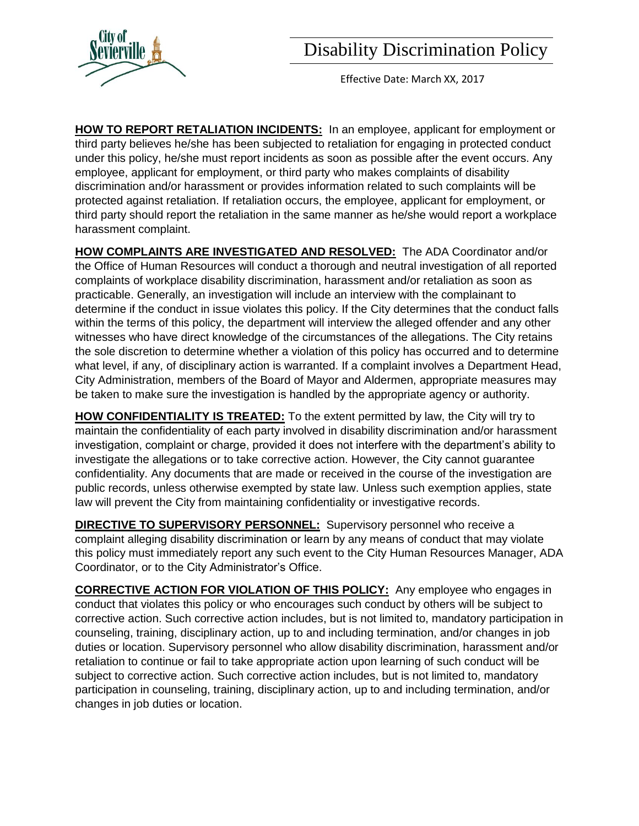

Effective Date: March XX, 2017

**HOW TO REPORT RETALIATION INCIDENTS:** In an employee, applicant for employment or third party believes he/she has been subjected to retaliation for engaging in protected conduct under this policy, he/she must report incidents as soon as possible after the event occurs. Any employee, applicant for employment, or third party who makes complaints of disability discrimination and/or harassment or provides information related to such complaints will be protected against retaliation. If retaliation occurs, the employee, applicant for employment, or third party should report the retaliation in the same manner as he/she would report a workplace harassment complaint.

**HOW COMPLAINTS ARE INVESTIGATED AND RESOLVED:** The ADA Coordinator and/or the Office of Human Resources will conduct a thorough and neutral investigation of all reported complaints of workplace disability discrimination, harassment and/or retaliation as soon as practicable. Generally, an investigation will include an interview with the complainant to determine if the conduct in issue violates this policy. If the City determines that the conduct falls within the terms of this policy, the department will interview the alleged offender and any other witnesses who have direct knowledge of the circumstances of the allegations. The City retains the sole discretion to determine whether a violation of this policy has occurred and to determine what level, if any, of disciplinary action is warranted. If a complaint involves a Department Head, City Administration, members of the Board of Mayor and Aldermen, appropriate measures may be taken to make sure the investigation is handled by the appropriate agency or authority.

**HOW CONFIDENTIALITY IS TREATED:** To the extent permitted by law, the City will try to maintain the confidentiality of each party involved in disability discrimination and/or harassment investigation, complaint or charge, provided it does not interfere with the department's ability to investigate the allegations or to take corrective action. However, the City cannot guarantee confidentiality. Any documents that are made or received in the course of the investigation are public records, unless otherwise exempted by state law. Unless such exemption applies, state law will prevent the City from maintaining confidentiality or investigative records.

**DIRECTIVE TO SUPERVISORY PERSONNEL:** Supervisory personnel who receive a complaint alleging disability discrimination or learn by any means of conduct that may violate this policy must immediately report any such event to the City Human Resources Manager, ADA Coordinator, or to the City Administrator's Office.

**CORRECTIVE ACTION FOR VIOLATION OF THIS POLICY:** Any employee who engages in conduct that violates this policy or who encourages such conduct by others will be subject to corrective action. Such corrective action includes, but is not limited to, mandatory participation in counseling, training, disciplinary action, up to and including termination, and/or changes in job duties or location. Supervisory personnel who allow disability discrimination, harassment and/or retaliation to continue or fail to take appropriate action upon learning of such conduct will be subject to corrective action. Such corrective action includes, but is not limited to, mandatory participation in counseling, training, disciplinary action, up to and including termination, and/or changes in job duties or location.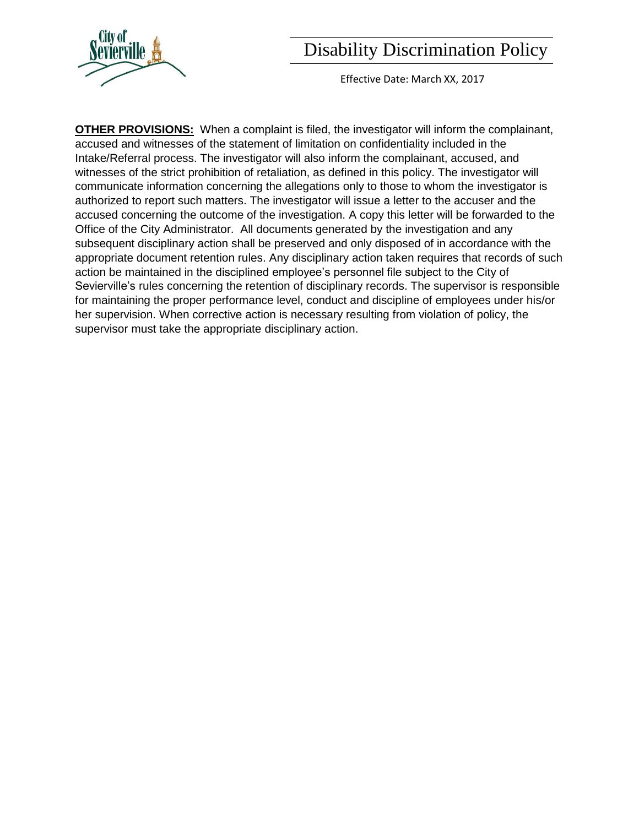Effective Date: March XX, 2017

**OTHER PROVISIONS:** When a complaint is filed, the investigator will inform the complainant, accused and witnesses of the statement of limitation on confidentiality included in the Intake/Referral process. The investigator will also inform the complainant, accused, and witnesses of the strict prohibition of retaliation, as defined in this policy. The investigator will communicate information concerning the allegations only to those to whom the investigator is authorized to report such matters. The investigator will issue a letter to the accuser and the accused concerning the outcome of the investigation. A copy this letter will be forwarded to the Office of the City Administrator. All documents generated by the investigation and any subsequent disciplinary action shall be preserved and only disposed of in accordance with the appropriate document retention rules. Any disciplinary action taken requires that records of such action be maintained in the disciplined employee's personnel file subject to the City of Sevierville's rules concerning the retention of disciplinary records. The supervisor is responsible for maintaining the proper performance level, conduct and discipline of employees under his/or her supervision. When corrective action is necessary resulting from violation of policy, the supervisor must take the appropriate disciplinary action.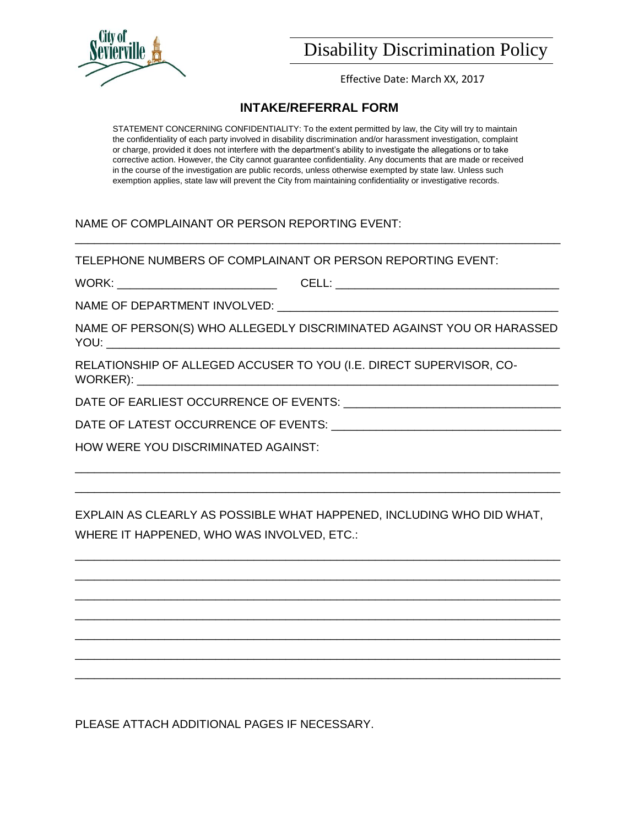

Effective Date: March XX, 2017

## **INTAKE/REFERRAL FORM**

STATEMENT CONCERNING CONFIDENTIALITY: To the extent permitted by law, the City will try to maintain the confidentiality of each party involved in disability discrimination and/or harassment investigation, complaint or charge, provided it does not interfere with the department's ability to investigate the allegations or to take corrective action. However, the City cannot guarantee confidentiality. Any documents that are made or received in the course of the investigation are public records, unless otherwise exempted by state law. Unless such exemption applies, state law will prevent the City from maintaining confidentiality or investigative records.

### NAME OF COMPLAINANT OR PERSON REPORTING EVENT:

TELEPHONE NUMBERS OF COMPLAINANT OR PERSON REPORTING EVENT:

WORK: \_\_\_\_\_\_\_\_\_\_\_\_\_\_\_\_\_\_\_\_\_\_\_\_\_ CELL: \_\_\_\_\_\_\_\_\_\_\_\_\_\_\_\_\_\_\_\_\_\_\_\_\_\_\_\_\_\_\_\_\_\_\_

\_\_\_\_\_\_\_\_\_\_\_\_\_\_\_\_\_\_\_\_\_\_\_\_\_\_\_\_\_\_\_\_\_\_\_\_\_\_\_\_\_\_\_\_\_\_\_\_\_\_\_\_\_\_\_\_\_\_\_\_\_\_\_\_\_\_\_\_\_\_\_\_\_\_\_\_

NAME OF DEPARTMENT INVOLVED:

NAME OF PERSON(S) WHO ALLEGEDLY DISCRIMINATED AGAINST YOU OR HARASSED YOU: \_\_\_\_\_\_\_\_\_\_\_\_\_\_\_\_\_\_\_\_\_\_\_\_\_\_\_\_\_\_\_\_\_\_\_\_\_\_\_\_\_\_\_\_\_\_\_\_\_\_\_\_\_\_\_\_\_\_\_\_\_\_\_\_\_\_\_\_\_\_\_

RELATIONSHIP OF ALLEGED ACCUSER TO YOU (I.E. DIRECT SUPERVISOR, CO-WORKER):

DATE OF EARLIEST OCCURRENCE OF EVENTS:  $\blacksquare$ 

DATE OF LATEST OCCURRENCE OF EVENTS: \_\_\_\_\_\_\_\_\_\_\_\_\_\_\_\_\_\_\_\_\_\_\_\_\_\_\_\_\_\_\_\_\_\_\_\_

HOW WERE YOU DISCRIMINATED AGAINST:

EXPLAIN AS CLEARLY AS POSSIBLE WHAT HAPPENED, INCLUDING WHO DID WHAT, WHERE IT HAPPENED, WHO WAS INVOLVED, ETC.:

\_\_\_\_\_\_\_\_\_\_\_\_\_\_\_\_\_\_\_\_\_\_\_\_\_\_\_\_\_\_\_\_\_\_\_\_\_\_\_\_\_\_\_\_\_\_\_\_\_\_\_\_\_\_\_\_\_\_\_\_\_\_\_\_\_\_\_\_\_\_\_\_\_\_\_\_ \_\_\_\_\_\_\_\_\_\_\_\_\_\_\_\_\_\_\_\_\_\_\_\_\_\_\_\_\_\_\_\_\_\_\_\_\_\_\_\_\_\_\_\_\_\_\_\_\_\_\_\_\_\_\_\_\_\_\_\_\_\_\_\_\_\_\_\_\_\_\_\_\_\_\_\_ \_\_\_\_\_\_\_\_\_\_\_\_\_\_\_\_\_\_\_\_\_\_\_\_\_\_\_\_\_\_\_\_\_\_\_\_\_\_\_\_\_\_\_\_\_\_\_\_\_\_\_\_\_\_\_\_\_\_\_\_\_\_\_\_\_\_\_\_\_\_\_\_\_\_\_\_ \_\_\_\_\_\_\_\_\_\_\_\_\_\_\_\_\_\_\_\_\_\_\_\_\_\_\_\_\_\_\_\_\_\_\_\_\_\_\_\_\_\_\_\_\_\_\_\_\_\_\_\_\_\_\_\_\_\_\_\_\_\_\_\_\_\_\_\_\_\_\_\_\_\_\_\_ \_\_\_\_\_\_\_\_\_\_\_\_\_\_\_\_\_\_\_\_\_\_\_\_\_\_\_\_\_\_\_\_\_\_\_\_\_\_\_\_\_\_\_\_\_\_\_\_\_\_\_\_\_\_\_\_\_\_\_\_\_\_\_\_\_\_\_\_\_\_\_\_\_\_\_\_ \_\_\_\_\_\_\_\_\_\_\_\_\_\_\_\_\_\_\_\_\_\_\_\_\_\_\_\_\_\_\_\_\_\_\_\_\_\_\_\_\_\_\_\_\_\_\_\_\_\_\_\_\_\_\_\_\_\_\_\_\_\_\_\_\_\_\_\_\_\_\_\_\_\_\_\_ \_\_\_\_\_\_\_\_\_\_\_\_\_\_\_\_\_\_\_\_\_\_\_\_\_\_\_\_\_\_\_\_\_\_\_\_\_\_\_\_\_\_\_\_\_\_\_\_\_\_\_\_\_\_\_\_\_\_\_\_\_\_\_\_\_\_\_\_\_\_\_\_\_\_\_\_

\_\_\_\_\_\_\_\_\_\_\_\_\_\_\_\_\_\_\_\_\_\_\_\_\_\_\_\_\_\_\_\_\_\_\_\_\_\_\_\_\_\_\_\_\_\_\_\_\_\_\_\_\_\_\_\_\_\_\_\_\_\_\_\_\_\_\_\_\_\_\_\_\_\_\_\_ \_\_\_\_\_\_\_\_\_\_\_\_\_\_\_\_\_\_\_\_\_\_\_\_\_\_\_\_\_\_\_\_\_\_\_\_\_\_\_\_\_\_\_\_\_\_\_\_\_\_\_\_\_\_\_\_\_\_\_\_\_\_\_\_\_\_\_\_\_\_\_\_\_\_\_\_

PLEASE ATTACH ADDITIONAL PAGES IF NECESSARY.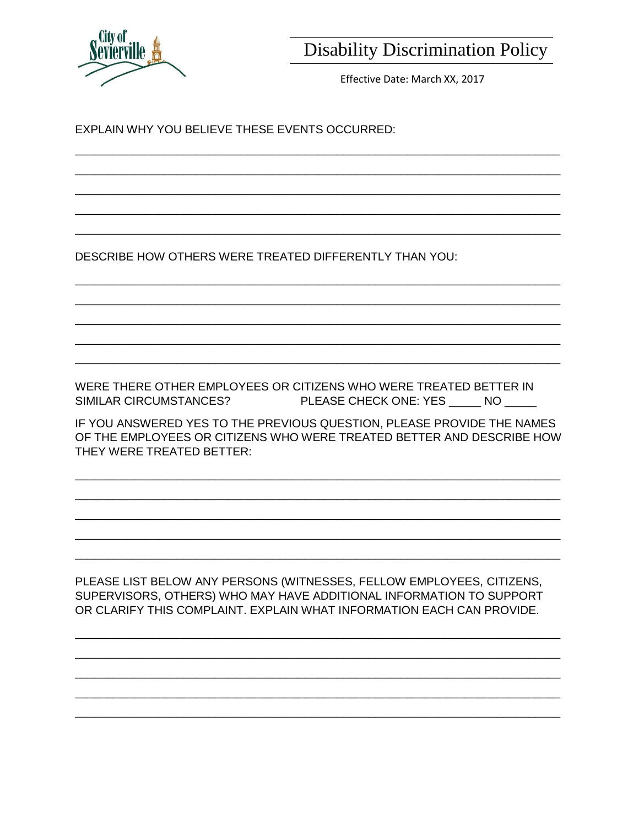

Effective Date: March XX, 2017

EXPLAIN WHY YOU BELIEVE THESE EVENTS OCCURRED:

DESCRIBE HOW OTHERS WERE TREATED DIFFERENTLY THAN YOU:

WERE THERE OTHER EMPLOYEES OR CITIZENS WHO WERE TREATED BETTER IN SIMILAR CIRCUMSTANCES? PLEASE CHECK ONE: YES \_\_\_\_\_\_ NO \_\_\_\_\_

IF YOU ANSWERED YES TO THE PREVIOUS QUESTION, PLEASE PROVIDE THE NAMES OF THE EMPLOYEES OR CITIZENS WHO WERE TREATED BETTER AND DESCRIBE HOW THEY WERE TREATED BETTER:

PLEASE LIST BELOW ANY PERSONS (WITNESSES, FELLOW EMPLOYEES, CITIZENS, SUPERVISORS, OTHERS) WHO MAY HAVE ADDITIONAL INFORMATION TO SUPPORT OR CLARIFY THIS COMPLAINT. EXPLAIN WHAT INFORMATION EACH CAN PROVIDE.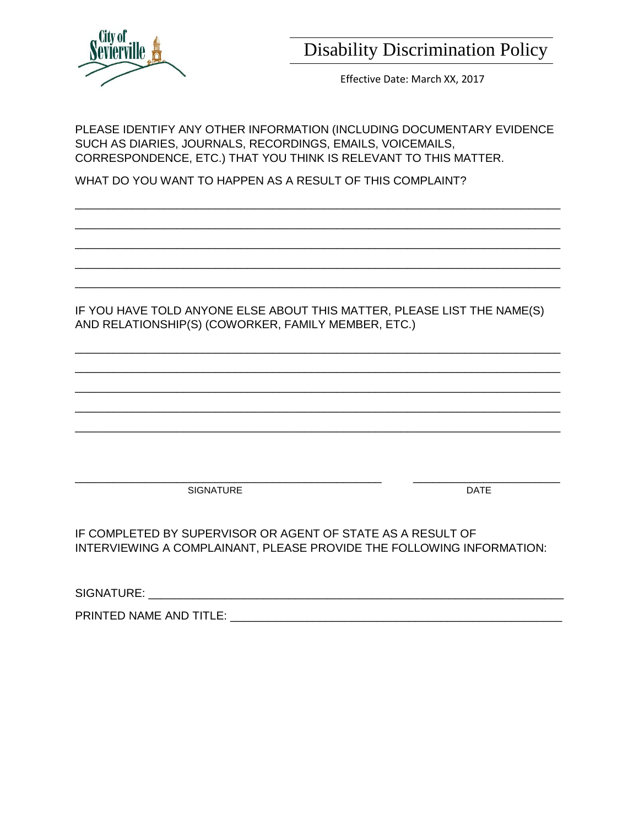

Effective Date: March XX, 2017

PLEASE IDENTIFY ANY OTHER INFORMATION (INCLUDING DOCUMENTARY EVIDENCE SUCH AS DIARIES, JOURNALS, RECORDINGS, EMAILS, VOICEMAILS, CORRESPONDENCE, ETC.) THAT YOU THINK IS RELEVANT TO THIS MATTER.

\_\_\_\_\_\_\_\_\_\_\_\_\_\_\_\_\_\_\_\_\_\_\_\_\_\_\_\_\_\_\_\_\_\_\_\_\_\_\_\_\_\_\_\_\_\_\_\_\_\_\_\_\_\_\_\_\_\_\_\_\_\_\_\_\_\_\_\_\_\_\_\_\_\_\_\_ \_\_\_\_\_\_\_\_\_\_\_\_\_\_\_\_\_\_\_\_\_\_\_\_\_\_\_\_\_\_\_\_\_\_\_\_\_\_\_\_\_\_\_\_\_\_\_\_\_\_\_\_\_\_\_\_\_\_\_\_\_\_\_\_\_\_\_\_\_\_\_\_\_\_\_\_ \_\_\_\_\_\_\_\_\_\_\_\_\_\_\_\_\_\_\_\_\_\_\_\_\_\_\_\_\_\_\_\_\_\_\_\_\_\_\_\_\_\_\_\_\_\_\_\_\_\_\_\_\_\_\_\_\_\_\_\_\_\_\_\_\_\_\_\_\_\_\_\_\_\_\_\_ \_\_\_\_\_\_\_\_\_\_\_\_\_\_\_\_\_\_\_\_\_\_\_\_\_\_\_\_\_\_\_\_\_\_\_\_\_\_\_\_\_\_\_\_\_\_\_\_\_\_\_\_\_\_\_\_\_\_\_\_\_\_\_\_\_\_\_\_\_\_\_\_\_\_\_\_ \_\_\_\_\_\_\_\_\_\_\_\_\_\_\_\_\_\_\_\_\_\_\_\_\_\_\_\_\_\_\_\_\_\_\_\_\_\_\_\_\_\_\_\_\_\_\_\_\_\_\_\_\_\_\_\_\_\_\_\_\_\_\_\_\_\_\_\_\_\_\_\_\_\_\_\_

WHAT DO YOU WANT TO HAPPEN AS A RESULT OF THIS COMPLAINT?

IF YOU HAVE TOLD ANYONE ELSE ABOUT THIS MATTER, PLEASE LIST THE NAME(S) AND RELATIONSHIP(S) (COWORKER, FAMILY MEMBER, ETC.)

\_\_\_\_\_\_\_\_\_\_\_\_\_\_\_\_\_\_\_\_\_\_\_\_\_\_\_\_\_\_\_\_\_\_\_\_\_\_\_\_\_\_\_\_\_\_\_\_\_\_\_\_\_\_\_\_\_\_\_\_\_\_\_\_\_\_\_\_\_\_\_\_\_\_\_\_ \_\_\_\_\_\_\_\_\_\_\_\_\_\_\_\_\_\_\_\_\_\_\_\_\_\_\_\_\_\_\_\_\_\_\_\_\_\_\_\_\_\_\_\_\_\_\_\_\_\_\_\_\_\_\_\_\_\_\_\_\_\_\_\_\_\_\_\_\_\_\_\_\_\_\_\_ \_\_\_\_\_\_\_\_\_\_\_\_\_\_\_\_\_\_\_\_\_\_\_\_\_\_\_\_\_\_\_\_\_\_\_\_\_\_\_\_\_\_\_\_\_\_\_\_\_\_\_\_\_\_\_\_\_\_\_\_\_\_\_\_\_\_\_\_\_\_\_\_\_\_\_\_ \_\_\_\_\_\_\_\_\_\_\_\_\_\_\_\_\_\_\_\_\_\_\_\_\_\_\_\_\_\_\_\_\_\_\_\_\_\_\_\_\_\_\_\_\_\_\_\_\_\_\_\_\_\_\_\_\_\_\_\_\_\_\_\_\_\_\_\_\_\_\_\_\_\_\_\_ \_\_\_\_\_\_\_\_\_\_\_\_\_\_\_\_\_\_\_\_\_\_\_\_\_\_\_\_\_\_\_\_\_\_\_\_\_\_\_\_\_\_\_\_\_\_\_\_\_\_\_\_\_\_\_\_\_\_\_\_\_\_\_\_\_\_\_\_\_\_\_\_\_\_\_\_

\_\_\_\_\_\_\_\_\_\_\_\_\_\_\_\_\_\_\_\_\_\_\_\_\_\_\_\_\_\_\_\_\_\_\_\_\_\_\_\_\_\_\_\_\_\_\_\_ \_\_\_\_\_\_\_\_\_\_\_\_\_\_\_\_\_\_\_\_\_\_\_ SIGNATURE DATE

IF COMPLETED BY SUPERVISOR OR AGENT OF STATE AS A RESULT OF INTERVIEWING A COMPLAINANT, PLEASE PROVIDE THE FOLLOWING INFORMATION:

SIGNATURE: with the set of the set of the set of the set of the set of the set of the set of the set of the set of the set of the set of the set of the set of the set of the set of the set of the set of the set of the set

PRINTED NAME AND TITLE: \_\_\_\_\_\_\_\_\_\_\_\_\_\_\_\_\_\_\_\_\_\_\_\_\_\_\_\_\_\_\_\_\_\_\_\_\_\_\_\_\_\_\_\_\_\_\_\_\_\_\_\_